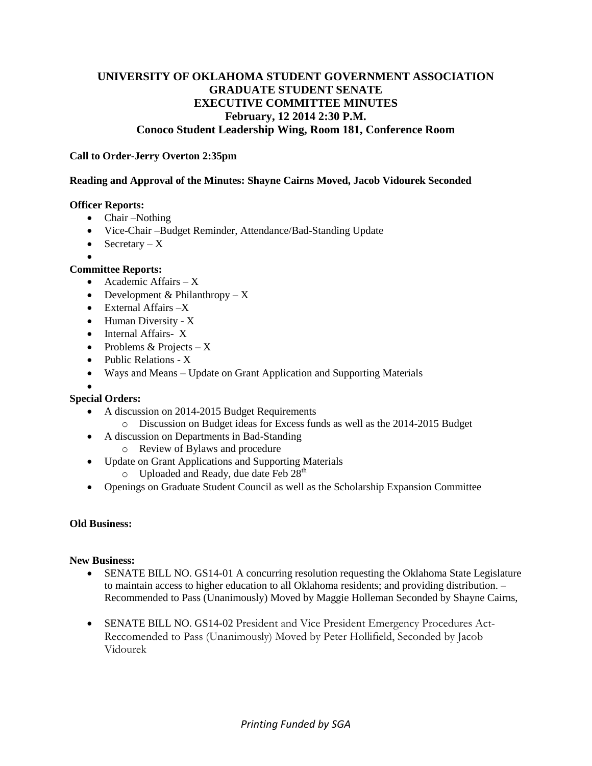# **UNIVERSITY OF OKLAHOMA STUDENT GOVERNMENT ASSOCIATION GRADUATE STUDENT SENATE EXECUTIVE COMMITTEE MINUTES February, 12 2014 2:30 P.M. Conoco Student Leadership Wing, Room 181, Conference Room**

### **Call to Order-Jerry Overton 2:35pm**

#### **Reading and Approval of the Minutes: Shayne Cairns Moved, Jacob Vidourek Seconded**

#### **Officer Reports:**

- Chair –Nothing
- Vice-Chair –Budget Reminder, Attendance/Bad-Standing Update
- Secretary  $X$
- $\bullet$

## **Committee Reports:**

- Academic Affairs X
- Development & Philanthropy  $X$
- External Affairs -X
- $\bullet$  Human Diversity X
- Internal Affairs- X
- Problems & Projects  $X$
- Public Relations X
- Ways and Means Update on Grant Application and Supporting Materials

#### $\bullet$ **Special Orders:**

- A discussion on 2014-2015 Budget Requirements
	- o Discussion on Budget ideas for Excess funds as well as the 2014-2015 Budget
- A discussion on Departments in Bad-Standing
	- o Review of Bylaws and procedure
- Update on Grant Applications and Supporting Materials
	- o Uploaded and Ready, due date Feb 28<sup>th</sup>
- Openings on Graduate Student Council as well as the Scholarship Expansion Committee

## **Old Business:**

#### **New Business:**

- SENATE BILL NO. GS14-01 A concurring resolution requesting the Oklahoma State Legislature to maintain access to higher education to all Oklahoma residents; and providing distribution. – Recommended to Pass (Unanimously) Moved by Maggie Holleman Seconded by Shayne Cairns,
- SENATE BILL NO. GS14-02 President and Vice President Emergency Procedures Act-Reccomended to Pass (Unanimously) Moved by Peter Hollifield, Seconded by Jacob Vidourek